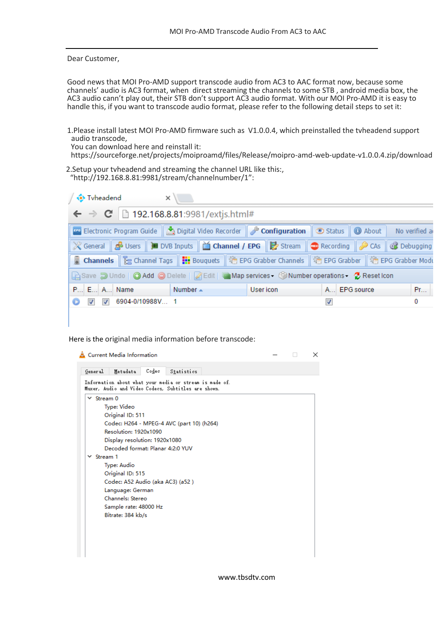Dear Customer,

Good news that MOI Pro-AMD support transcode audio from AC3 to AAC format now, because some channels' audio is AC3 format, when direct streaming the channels to some STB , android media box, the AC3 audio cann't play out, their STB don't support AC3 audio format. With our MOI Pro-AMD it is easy to handle this, if you want to transcode audio format, please refer to the following detail steps to set it:

1.Please install latest MOI Pro-AMD firmware such as V1.0.0.4, which preinstalled the tvheadend support audio transcode,

You can download here and reinstall it:

https://sourceforge.net/projects/moiproamd/files/Release/moipro-amd-web-update-v1.0.0.4.zip/download

2.Setup your tvheadend and streaming the channel URL like this:, "<http://192.168.8.81:9981/stream/channelnumber/1>":

| Tyheadend                                                                                                                                                                     | $\times$ ) |           |              |    |
|-------------------------------------------------------------------------------------------------------------------------------------------------------------------------------|------------|-----------|--------------|----|
| $\leftarrow$ $\rightarrow$ <b>C</b>   192.168.8.81:9981/extjs.html#                                                                                                           |            |           |              |    |
| <b>Example 2 Electronic Program Guide</b>   Bigital Video Recorder   Biggerial <b>Configuration</b>   Status   <b>O</b> About   No verified a                                 |            |           |              |    |
| X General   <mark>B</mark> Users   <b>B</b> DVB Inputs   △ Channel / EPG   B Stream   C Recording   ● CAs   C Debugging                                                       |            |           |              |    |
| <b>b</b> Channels $\mathbb{E}$ Channel Tags $\ \mathbf{H}\ $ Bouquets $\ \mathcal{H}\ $ EPG Grabber Channels $\ \mathcal{H}\ $ EPG Grabber $\ \mathcal{H}\ $ EPG Grabber Modt |            |           |              |    |
| Save D Undo   O Add O Delete   Z Edit   Map services - O Number operations - C Reset Icon                                                                                     |            |           |              |    |
| $P$ E A Name Number $\sim$                                                                                                                                                    |            | User icon | A EPG source | Pr |
| $\Box$ 7 6904-0/10988V 1                                                                                                                                                      |            |           |              | 0  |

Here is the original media information before transcode:

| General           | Metadata                         | Codec | Statistics                                                                                                     |  |  |
|-------------------|----------------------------------|-------|----------------------------------------------------------------------------------------------------------------|--|--|
|                   |                                  |       | Information about what your media or stream is made of.<br>Muxer, Audio and Video Codecs, Subtitles are shown. |  |  |
| $\times$ Stream 0 |                                  |       |                                                                                                                |  |  |
|                   | Type: Video                      |       |                                                                                                                |  |  |
|                   | Original ID: 511                 |       |                                                                                                                |  |  |
|                   |                                  |       | Codec: H264 - MPEG-4 AVC (part 10) (h264)                                                                      |  |  |
|                   | Resolution: 1920x1090            |       |                                                                                                                |  |  |
|                   | Display resolution: 1920x1080    |       |                                                                                                                |  |  |
|                   | Decoded format: Planar 4:2:0 YUV |       |                                                                                                                |  |  |
| Stream 1          |                                  |       |                                                                                                                |  |  |
|                   | Type: Audio                      |       |                                                                                                                |  |  |
|                   | Original ID: 515                 |       |                                                                                                                |  |  |
|                   | Codec: A52 Audio (aka AC3) (a52) |       |                                                                                                                |  |  |
|                   | Language: German                 |       |                                                                                                                |  |  |
|                   | Channels: Stereo                 |       |                                                                                                                |  |  |
|                   | Sample rate: 48000 Hz            |       |                                                                                                                |  |  |
|                   | Bitrate: 384 kb/s                |       |                                                                                                                |  |  |
|                   |                                  |       |                                                                                                                |  |  |
|                   |                                  |       |                                                                                                                |  |  |
|                   |                                  |       |                                                                                                                |  |  |

www.tbsdtv.com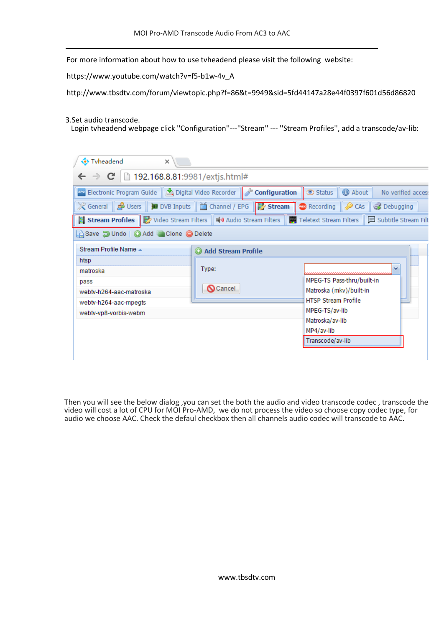For more information about how to use tvheadend please visit the following website:

[https://www.youtube.com/watch?v=f5-b1w-4v\\_A](https://www.youtube.com/watch?v=f5-b1w-4v_A)

http://www.tbsdtv.com/forum/viewtopic.php?f=86&t=9949&sid=5fd44147a28e44f0397f601d56d86820

3.Set audio transcode.

Login tvheadend webpage click ''Configuration''---''Stream'' --- ''Stream Profiles'', add a transcode/av-lib:

| Tyheadend<br>$\times$                                                                                                                                                                                                                                                                                                                                      |                             |                                                                                                       |
|------------------------------------------------------------------------------------------------------------------------------------------------------------------------------------------------------------------------------------------------------------------------------------------------------------------------------------------------------------|-----------------------------|-------------------------------------------------------------------------------------------------------|
| $\Rightarrow$ <b>C</b>   192.168.8.81:9981/extjs.html#                                                                                                                                                                                                                                                                                                     |                             |                                                                                                       |
| Configuration Cuide   Digital Video Recorder   Configuration<br>※ General   <mark>☆</mark> Users    ■ DVB Inputs    △ Channel / EPG    <mark>☆ Stream    △</mark> Recording    <i>◆</i> CAs    ③ Debugging<br>■ Stream Profiles   秒 Video Stream Filters   Coldinal Audio Stream Filters   国 Teletext Stream Filters  <br>Save J Undo   Add Clone O Delete |                             | <b>O</b> About<br>Status<br>No verified access<br><b>同 Subtitle Stream Filt</b>                       |
| Stream Profile Name A<br>htsp<br>matroska                                                                                                                                                                                                                                                                                                                  | Add Stream Profile<br>Type: | v                                                                                                     |
| pass<br>webtv-h264-aac-matroska<br>webtv-h264-aac-mpegts<br>webtv-vp8-vorbis-webm                                                                                                                                                                                                                                                                          | <b>Q</b> Cancel             | MPEG-TS Pass-thru/built-in<br>Matroska (mkv)/built-in<br><b>HTSP Stream Profile</b><br>MPEG-TS/av-lib |
|                                                                                                                                                                                                                                                                                                                                                            |                             | Matroska/av-lib<br>MP4/av-lib<br>Transcode/av-lib                                                     |

Then you will see the below dialog ,you can set the both the audio and video transcode codec , transcode the video will cost a lot of CPU for MOI Pro-AMD, we do not process the video so choose copy codec type, for audio we choose AAC. Check the defaul checkbox then all channels audio codec will transcode to AAC.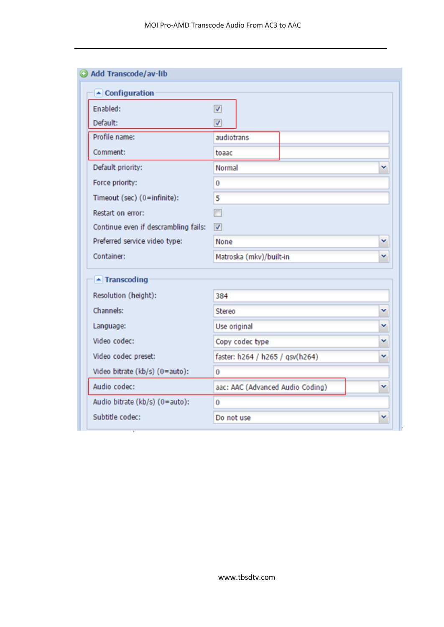| $\blacktriangle$ Configuration       |                                  |   |
|--------------------------------------|----------------------------------|---|
| Enabled:                             | $\overline{\mathsf{v}}$          |   |
| Default:                             | √                                |   |
| Profile name:                        | audiotrans                       |   |
| Comment:                             | toaac                            |   |
| Default priority:                    | Normal                           | v |
| Force priority:                      | 0                                |   |
| Timeout (sec) (0=infinite):          | 5                                |   |
| Restart on error:                    | m                                |   |
| Continue even if descrambling fails: | $\triangledown$                  |   |
| Preferred service video type:        | None                             | ٧ |
| Container:                           | Matroska (mkv)/built-in          | v |
| $\blacktriangle$ Transcoding         |                                  |   |
| Resolution (height):                 | 384                              |   |
| Channels:                            | Stereo                           | v |
| Language:                            | Use original                     | v |
| Video codec:                         | Copy codec type                  | v |
| Video codec preset:                  | faster: h264 / h265 / qsv(h264)  | v |
| Video bitrate (kb/s) (0=auto):       | 0                                |   |
| Audio codec:                         | aac: AAC (Advanced Audio Coding) | v |
| Audio bitrate (kb/s) (0=auto):       | 0                                |   |
| Subtitle codec:                      | Do not use                       | ٧ |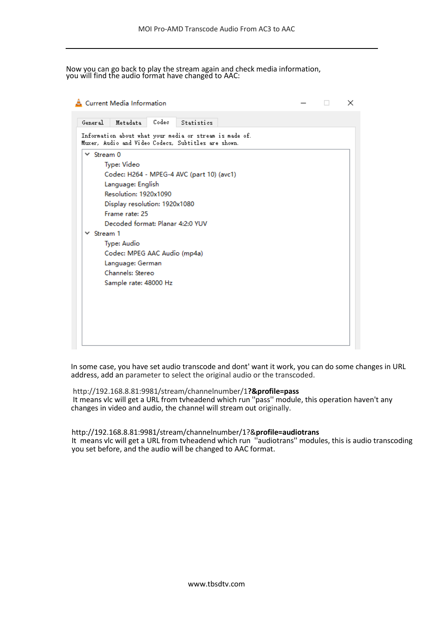Now you can go back to play the stream again and check media information, you will find the audio format have changed to AAC:

| General                  | <b>Metadata</b>                  | Codec | Statistics                                                                                                     |  |  |
|--------------------------|----------------------------------|-------|----------------------------------------------------------------------------------------------------------------|--|--|
|                          |                                  |       | Information about what your media or stream is made of.<br>Muxer, Audio and Video Codecs, Subtitles are shown. |  |  |
| $\times$ Stream 0        |                                  |       |                                                                                                                |  |  |
|                          | Type: Video                      |       |                                                                                                                |  |  |
|                          |                                  |       | Codec: H264 - MPEG-4 AVC (part 10) (avc1)                                                                      |  |  |
|                          | Language: English                |       |                                                                                                                |  |  |
|                          | Resolution: 1920x1090            |       |                                                                                                                |  |  |
|                          | Display resolution: 1920x1080    |       |                                                                                                                |  |  |
|                          | Frame rate: 25                   |       |                                                                                                                |  |  |
|                          | Decoded format: Planar 4:2:0 YUV |       |                                                                                                                |  |  |
| Stream 1<br>$\checkmark$ |                                  |       |                                                                                                                |  |  |
|                          | Type: Audio                      |       |                                                                                                                |  |  |
|                          | Codec: MPEG AAC Audio (mp4a)     |       |                                                                                                                |  |  |
|                          | Language: German                 |       |                                                                                                                |  |  |
|                          | Channels: Stereo                 |       |                                                                                                                |  |  |
|                          | Sample rate: 48000 Hz            |       |                                                                                                                |  |  |
|                          |                                  |       |                                                                                                                |  |  |
|                          |                                  |       |                                                                                                                |  |  |
|                          |                                  |       |                                                                                                                |  |  |
|                          |                                  |       |                                                                                                                |  |  |

In some case, you have set audio transcode and dont' want it work, you can do some changes in URL address, add an parameter to select the original audio or the transcoded.

http://192.168.8.81:9981/stream/channelnumber/1**?&profile=pass** It means vlc will get a URL from tvheadend which run ''pass'' module, this operation haven't any changes in video and audio, the channel will stream out originally.

[http://192.168.8.81:9981/stream/channelnumber/1?&](http://192.168.8.81:9981/stream/channelnumber/1?&profile=audiotrans)**profile=audiotrans** It means vlc will get a URL from tvheadend which run ''audiotrans'' modules, this is audio transcoding you set before, and the audio will be changed to AAC format.